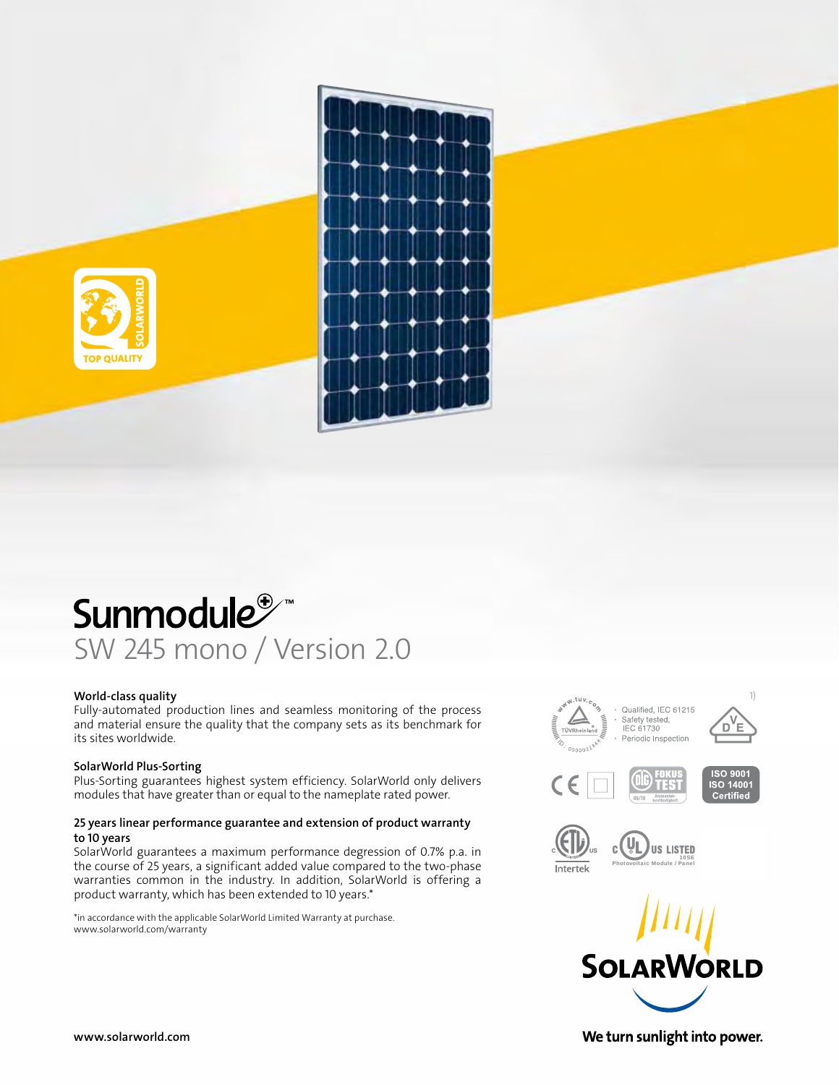

## Sunmodule<sup>®</sup> SW 245 mono / Version 2.0

#### World‑class quality

Fully-automated production lines and seamless monitoring of the process and material ensure the quality that the company sets as its benchmark for its sites worldwide.

#### SolarWorld Plus‑Sorting

Plus‑Sorting guarantees highest system efficiency. SolarWorld only delivers modules that have greater than or equal to the nameplate rated power.

### 25 years linear performance guarantee and extension of product warranty to 10 years

SolarWorld guarantees a maximum performance degression of 0.7% p.a. in the course of 25 years, a significant added value compared to the two‑phase warranties common in the industry. In addition, SolarWorld is offering a product warranty, which has been extended to 10 years.\*

\*in accordance with the applicable SolarWorld Limited Warranty at purchase. www.solarworld.com/warranty









www.solarworld.com

We turn sunlight into power.